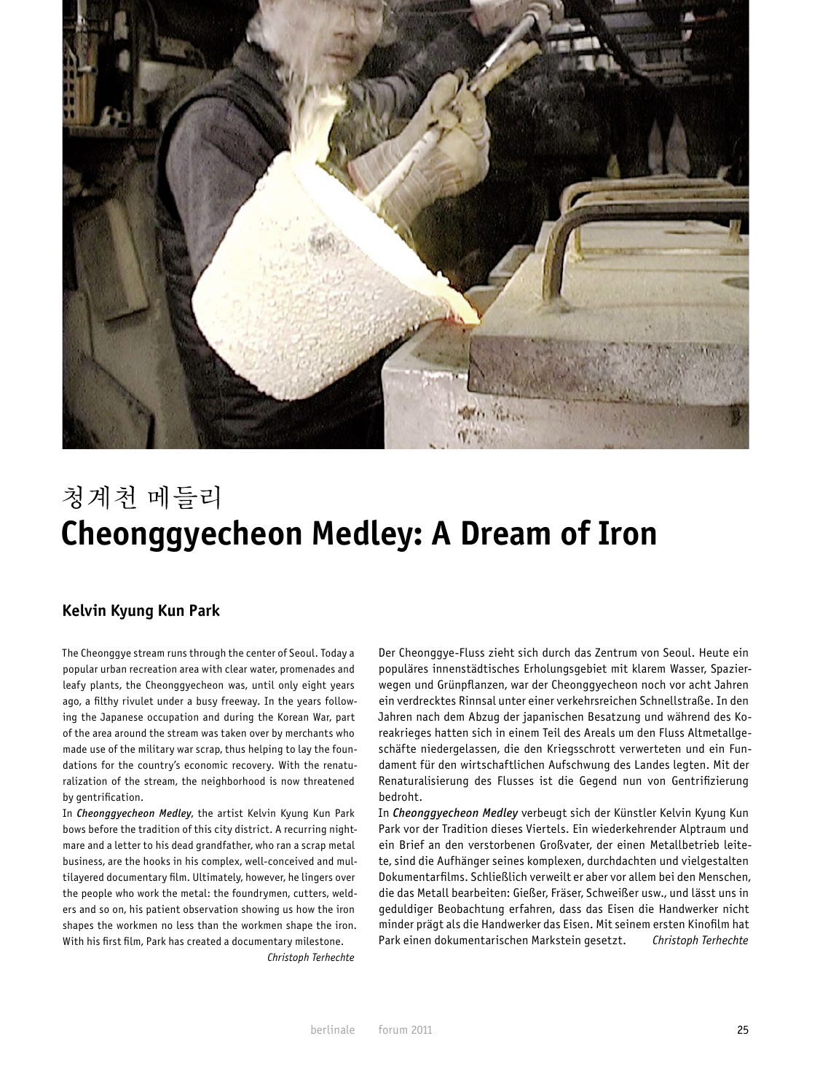

# 청계천 메들리 **Cheonggyecheon Medley: A Dream of Iron**

# **Kelvin Kyung Kun Park**

The Cheonggye stream runs through the center of Seoul. Today a popular urban recreation area with clear water, promenades and leafy plants, the Cheonggyecheon was, until only eight years ago, a filthy rivulet under a busy freeway. In the years following the Japanese occupation and during the Korean War, part of the area around the stream was taken over by merchants who made use of the military war scrap, thus helping to lay the foundations for the country's economic recovery. With the renaturalization of the stream, the neighborhood is now threatened by gentrification.

In *Cheonggyecheon Medley*, the artist Kelvin Kyung Kun Park bows before the tradition of this city district. A recurring nightmare and a letter to his dead grandfather, who ran a scrap metal business, are the hooks in his complex, well-conceived and multilayered documentary film. Ultimately, however, he lingers over the people who work the metal: the foundrymen, cutters, welders and so on, his patient observation showing us how the iron shapes the workmen no less than the workmen shape the iron. With his first film, Park has created a documentary milestone.

*Christoph Terhechte*

Der Cheonggye-Fluss zieht sich durch das Zentrum von Seoul. Heute ein populäres innenstädtisches Erholungsgebiet mit klarem Wasser, Spazierwegen und Grünpflanzen, war der Cheonggyecheon noch vor acht Jahren ein verdrecktes Rinnsal unter einer verkehrsreichen Schnellstraße. In den Jahren nach dem Abzug der japanischen Besatzung und während des Koreakrieges hatten sich in einem Teil des Areals um den Fluss Altmetallgeschäfte niedergelassen, die den Kriegsschrott verwerteten und ein Fundament für den wirtschaftlichen Aufschwung des Landes legten. Mit der Renaturalisierung des Flusses ist die Gegend nun von Gentrifizierung bedroht.

In *Cheonggyecheon Medley* verbeugt sich der Künstler Kelvin Kyung Kun Park vor der Tradition dieses Viertels. Ein wiederkehrender Alptraum und ein Brief an den verstorbenen Großvater, der einen Metallbetrieb leitete, sind die Aufhänger seines komplexen, durchdachten und vielgestalten Dokumentarfilms. Schließlich verweilt er aber vor allem bei den Menschen, die das Metall bearbeiten: Gießer, Fräser, Schweißer usw., und lässt uns in geduldiger Beobachtung erfahren, dass das Eisen die Handwerker nicht minder prägt als die Handwerker das Eisen. Mit seinem ersten Kinofilm hat Park einen dokumentarischen Markstein gesetzt. *Christoph Terhechte*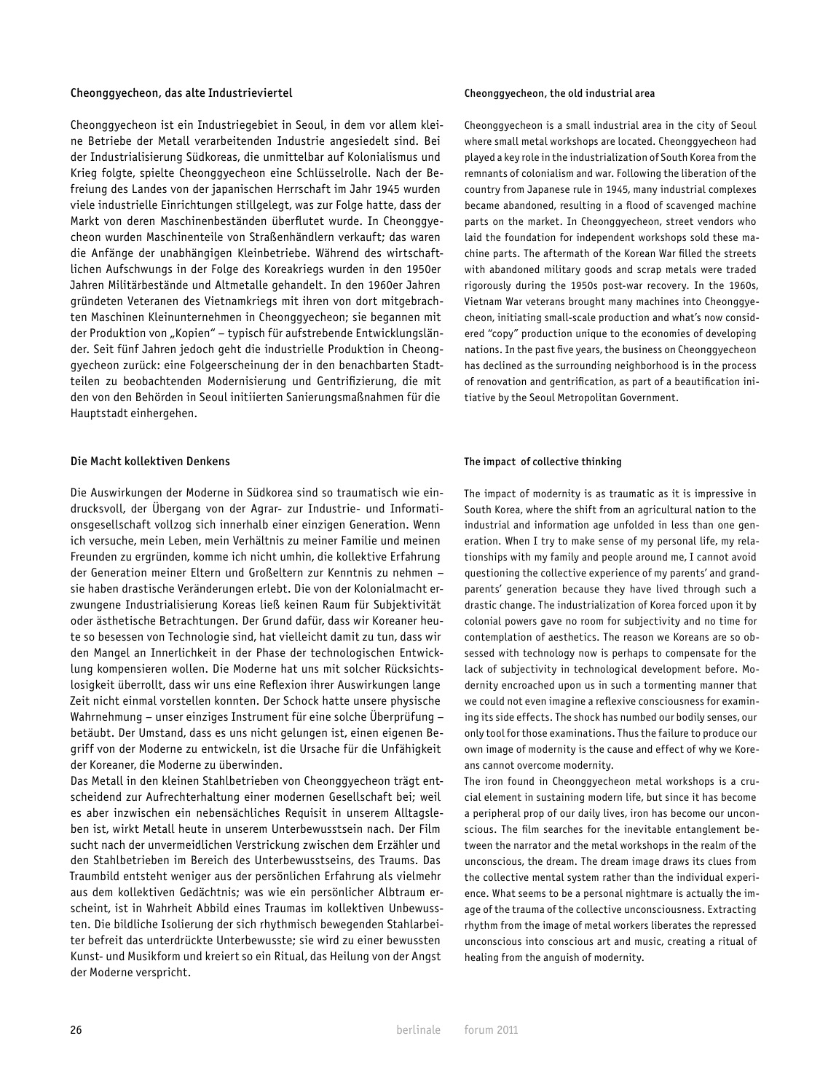# Cheonggyecheon, das alte Industrieviertel

Cheonggyecheon ist ein Industriegebiet in Seoul, in dem vor allem kleine Betriebe der Metall verarbeitenden Industrie angesiedelt sind. Bei der Industrialisierung Südkoreas, die unmittelbar auf Kolonialismus und Krieg folgte, spielte Cheonggyecheon eine Schlüsselrolle. Nach der Befreiung des Landes von der japanischen Herrschaft im Jahr 1945 wurden viele industrielle Einrichtungen stillgelegt, was zur Folge hatte, dass der Markt von deren Maschinenbeständen überflutet wurde. In Cheonggyecheon wurden Maschinenteile von Straßenhändlern verkauft; das waren die Anfänge der unabhängigen Kleinbetriebe. Während des wirtschaftlichen Aufschwungs in der Folge des Koreakriegs wurden in den 1950er Jahren Militärbestände und Altmetalle gehandelt. In den 1960er Jahren gründeten Veteranen des Vietnamkriegs mit ihren von dort mitgebrachten Maschinen Kleinunternehmen in Cheonggyecheon; sie begannen mit der Produktion von "Kopien" – typisch für aufstrebende Entwicklungsländer. Seit fünf Jahren jedoch geht die industrielle Produktion in Cheonggyecheon zurück: eine Folgeerscheinung der in den benachbarten Stadtteilen zu beobachtenden Modernisierung und Gentrifizierung, die mit den von den Behörden in Seoul initiierten Sanierungsmaßnahmen für die Hauptstadt einhergehen.

# Die Macht kollektiven Denkens

Die Auswirkungen der Moderne in Südkorea sind so traumatisch wie eindrucksvoll, der Übergang von der Agrar- zur Industrie- und Informationsgesellschaft vollzog sich innerhalb einer einzigen Generation. Wenn ich versuche, mein Leben, mein Verhältnis zu meiner Familie und meinen Freunden zu ergründen, komme ich nicht umhin, die kollektive Erfahrung der Generation meiner Eltern und Großeltern zur Kenntnis zu nehmen – sie haben drastische Veränderungen erlebt. Die von der Kolonialmacht erzwungene Industrialisierung Koreas ließ keinen Raum für Subjektivität oder ästhetische Betrachtungen. Der Grund dafür, dass wir Koreaner heute so besessen von Technologie sind, hat vielleicht damit zu tun, dass wir den Mangel an Innerlichkeit in der Phase der technologischen Entwicklung kompensieren wollen. Die Moderne hat uns mit solcher Rücksichtslosigkeit überrollt, dass wir uns eine Reflexion ihrer Auswirkungen lange Zeit nicht einmal vorstellen konnten. Der Schock hatte unsere physische Wahrnehmung – unser einziges Instrument für eine solche Überprüfung – betäubt. Der Umstand, dass es uns nicht gelungen ist, einen eigenen Begriff von der Moderne zu entwickeln, ist die Ursache für die Unfähigkeit der Koreaner, die Moderne zu überwinden.

Das Metall in den kleinen Stahlbetrieben von Cheonggyecheon trägt entscheidend zur Aufrechterhaltung einer modernen Gesellschaft bei; weil es aber inzwischen ein nebensächliches Requisit in unserem Alltagsleben ist, wirkt Metall heute in unserem Unterbewusstsein nach. Der Film sucht nach der unvermeidlichen Verstrickung zwischen dem Erzähler und den Stahlbetrieben im Bereich des Unterbewusstseins, des Traums. Das Traumbild entsteht weniger aus der persönlichen Erfahrung als vielmehr aus dem kollektiven Gedächtnis; was wie ein persönlicher Albtraum erscheint, ist in Wahrheit Abbild eines Traumas im kollektiven Unbewussten. Die bildliche Isolierung der sich rhythmisch bewegenden Stahlarbeiter befreit das unterdrückte Unterbewusste; sie wird zu einer bewussten Kunst- und Musikform und kreiert so ein Ritual, das Heilung von der Angst der Moderne verspricht.

# Cheonggyecheon, the old industrial area

Cheonggyecheon is a small industrial area in the city of Seoul where small metal workshops are located. Cheonggyecheon had played a key role in the industrialization of South Korea from the remnants of colonialism and war. Following the liberation of the country from Japanese rule in 1945, many industrial complexes became abandoned, resulting in a flood of scavenged machine parts on the market. In Cheonggyecheon, street vendors who laid the foundation for independent workshops sold these machine parts. The aftermath of the Korean War filled the streets with abandoned military goods and scrap metals were traded rigorously during the 1950s post-war recovery. In the 1960s, Vietnam War veterans brought many machines into Cheonggyecheon, initiating small-scale production and what's now considered "copy" production unique to the economies of developing nations. In the past five years, the business on Cheonggyecheon has declined as the surrounding neighborhood is in the process of renovation and gentrification, as part of a beautification initiative by the Seoul Metropolitan Government.

# The impact of collective thinking

The impact of modernity is as traumatic as it is impressive in South Korea, where the shift from an agricultural nation to the industrial and information age unfolded in less than one generation. When I try to make sense of my personal life, my relationships with my family and people around me, I cannot avoid questioning the collective experience of my parents' and grandparents' generation because they have lived through such a drastic change. The industrialization of Korea forced upon it by colonial powers gave no room for subjectivity and no time for contemplation of aesthetics. The reason we Koreans are so obsessed with technology now is perhaps to compensate for the lack of subjectivity in technological development before. Modernity encroached upon us in such a tormenting manner that we could not even imagine a reflexive consciousness for examining its side effects. The shock has numbed our bodily senses, our only tool for those examinations. Thus the failure to produce our own image of modernity is the cause and effect of why we Koreans cannot overcome modernity.

The iron found in Cheonggyecheon metal workshops is a crucial element in sustaining modern life, but since it has become a peripheral prop of our daily lives, iron has become our unconscious. The film searches for the inevitable entanglement between the narrator and the metal workshops in the realm of the unconscious, the dream. The dream image draws its clues from the collective mental system rather than the individual experience. What seems to be a personal nightmare is actually the image of the trauma of the collective unconsciousness. Extracting rhythm from the image of metal workers liberates the repressed unconscious into conscious art and music, creating a ritual of healing from the anguish of modernity.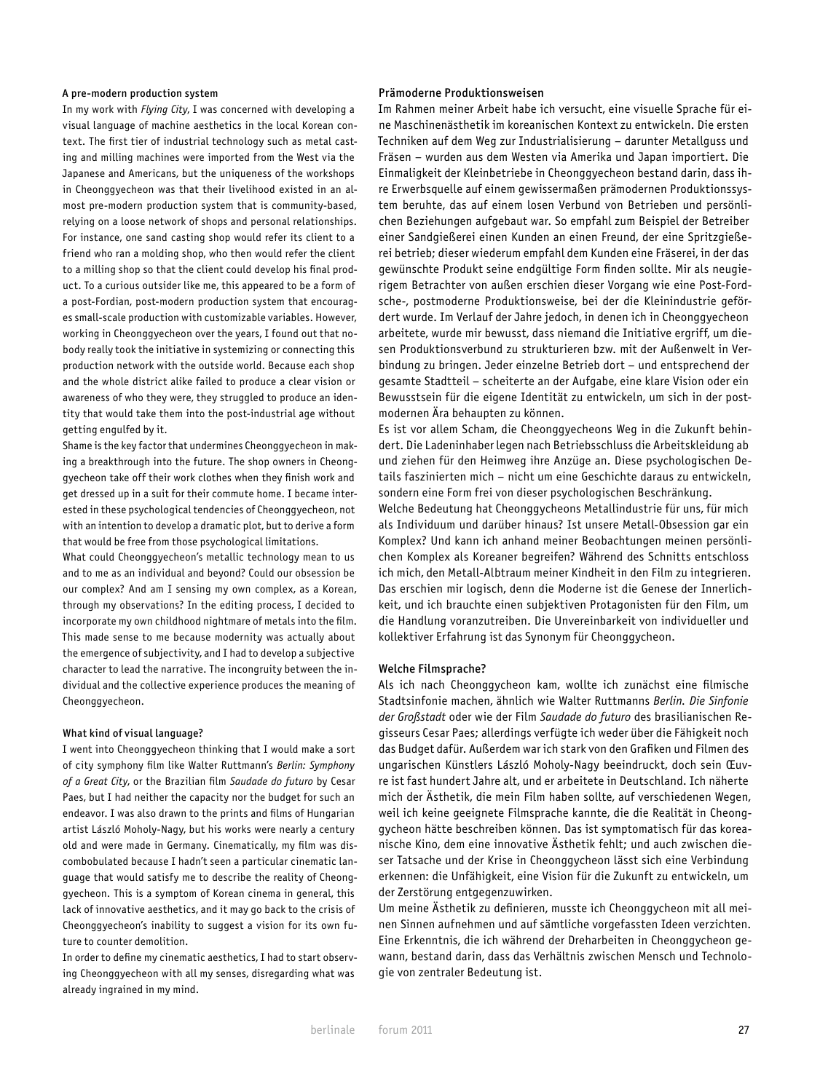# A pre-modern production system

In my work with *Flying City*, I was concerned with developing a visual language of machine aesthetics in the local Korean context. The first tier of industrial technology such as metal casting and milling machines were imported from the West via the Japanese and Americans, but the uniqueness of the workshops in Cheonggyecheon was that their livelihood existed in an almost pre-modern production system that is community-based, relying on a loose network of shops and personal relationships. For instance, one sand casting shop would refer its client to a friend who ran a molding shop, who then would refer the client to a milling shop so that the client could develop his final product. To a curious outsider like me, this appeared to be a form of a post-Fordian, post-modern production system that encourages small-scale production with customizable variables. However, working in Cheonggyecheon over the years, I found out that nobody really took the initiative in systemizing or connecting this production network with the outside world. Because each shop and the whole district alike failed to produce a clear vision or awareness of who they were, they struggled to produce an identity that would take them into the post-industrial age without getting engulfed by it.

Shame is the key factor that undermines Cheonggyecheon in making a breakthrough into the future. The shop owners in Cheonggyecheon take off their work clothes when they finish work and get dressed up in a suit for their commute home. I became interested in these psychological tendencies of Cheonggyecheon, not with an intention to develop a dramatic plot, but to derive a form that would be free from those psychological limitations.

What could Cheonggyecheon's metallic technology mean to us and to me as an individual and beyond? Could our obsession be our complex? And am I sensing my own complex, as a Korean, through my observations? In the editing process, I decided to incorporate my own childhood nightmare of metals into the film. This made sense to me because modernity was actually about the emergence of subjectivity, and I had to develop a subjective character to lead the narrative. The incongruity between the individual and the collective experience produces the meaning of Cheonggyecheon.

#### What kind of visual language?

I went into Cheonggyecheon thinking that I would make a sort of city symphony film like Walter Ruttmann's *Berlin: Symphony of a Great City*, or the Brazilian film *Saudade do futuro* by Cesar Paes, but I had neither the capacity nor the budget for such an endeavor. I was also drawn to the prints and films of Hungarian artist László Moholy-Nagy, but his works were nearly a century old and were made in Germany. Cinematically, my film was discombobulated because I hadn't seen a particular cinematic language that would satisfy me to describe the reality of Cheonggyecheon. This is a symptom of Korean cinema in general, this lack of innovative aesthetics, and it may go back to the crisis of Cheonggyecheon's inability to suggest a vision for its own future to counter demolition.

In order to define my cinematic aesthetics, I had to start observing Cheonggyecheon with all my senses, disregarding what was already ingrained in my mind.

#### Prämoderne Produktionsweisen

Im Rahmen meiner Arbeit habe ich versucht, eine visuelle Sprache für eine Maschinenästhetik im koreanischen Kontext zu entwickeln. Die ersten Techniken auf dem Weg zur Industrialisierung – darunter Metallguss und Fräsen – wurden aus dem Westen via Amerika und Japan importiert. Die Einmaligkeit der Kleinbetriebe in Cheonggyecheon bestand darin, dass ihre Erwerbsquelle auf einem gewissermaßen prämodernen Produktionssystem beruhte, das auf einem losen Verbund von Betrieben und persönlichen Beziehungen aufgebaut war. So empfahl zum Beispiel der Betreiber einer Sandgießerei einen Kunden an einen Freund, der eine Spritzgießerei betrieb; dieser wiederum empfahl dem Kunden eine Fräserei, in der das gewünschte Produkt seine endgültige Form finden sollte. Mir als neugierigem Betrachter von außen erschien dieser Vorgang wie eine Post-Fordsche-, postmoderne Produktionsweise, bei der die Kleinindustrie gefördert wurde. Im Verlauf der Jahre jedoch, in denen ich in Cheonggyecheon arbeitete, wurde mir bewusst, dass niemand die Initiative ergriff, um diesen Produktionsverbund zu strukturieren bzw. mit der Außenwelt in Verbindung zu bringen. Jeder einzelne Betrieb dort – und entsprechend der gesamte Stadtteil – scheiterte an der Aufgabe, eine klare Vision oder ein Bewusstsein für die eigene Identität zu entwickeln, um sich in der postmodernen Ära behaupten zu können.

Es ist vor allem Scham, die Cheonggyecheons Weg in die Zukunft behindert. Die Ladeninhaber legen nach Betriebsschluss die Arbeitskleidung ab und ziehen für den Heimweg ihre Anzüge an. Diese psychologischen Details faszinierten mich – nicht um eine Geschichte daraus zu entwickeln, sondern eine Form frei von dieser psychologischen Beschränkung.

Welche Bedeutung hat Cheonggycheons Metallindustrie für uns, für mich als Individuum und darüber hinaus? Ist unsere Metall-Obsession gar ein Komplex? Und kann ich anhand meiner Beobachtungen meinen persönlichen Komplex als Koreaner begreifen? Während des Schnitts entschloss ich mich, den Metall-Albtraum meiner Kindheit in den Film zu integrieren. Das erschien mir logisch, denn die Moderne ist die Genese der Innerlichkeit, und ich brauchte einen subjektiven Protagonisten für den Film, um die Handlung voranzutreiben. Die Unvereinbarkeit von individueller und kollektiver Erfahrung ist das Synonym für Cheonggycheon.

#### Welche Filmsprache?

Als ich nach Cheonggycheon kam, wollte ich zunächst eine filmische Stadtsinfonie machen, ähnlich wie Walter Ruttmanns *Berlin. Die Sinfonie der Großstadt* oder wie der Film *Saudade do futuro* des brasilianischen Regisseurs Cesar Paes; allerdings verfügte ich weder über die Fähigkeit noch das Budget dafür. Außerdem war ich stark von den Grafiken und Filmen des ungarischen Künstlers László Moholy-Nagy beeindruckt, doch sein Œuvre ist fast hundert Jahre alt, und er arbeitete in Deutschland. Ich näherte mich der Ästhetik, die mein Film haben sollte, auf verschiedenen Wegen, weil ich keine geeignete Filmsprache kannte, die die Realität in Cheonggycheon hätte beschreiben können. Das ist symptomatisch für das koreanische Kino, dem eine innovative Ästhetik fehlt; und auch zwischen dieser Tatsache und der Krise in Cheonggycheon lässt sich eine Verbindung erkennen: die Unfähigkeit, eine Vision für die Zukunft zu entwickeln, um der Zerstörung entgegenzuwirken.

Um meine Ästhetik zu definieren, musste ich Cheonggycheon mit all meinen Sinnen aufnehmen und auf sämtliche vorgefassten Ideen verzichten. Eine Erkenntnis, die ich während der Dreharbeiten in Cheonggycheon gewann, bestand darin, dass das Verhältnis zwischen Mensch und Technologie von zentraler Bedeutung ist.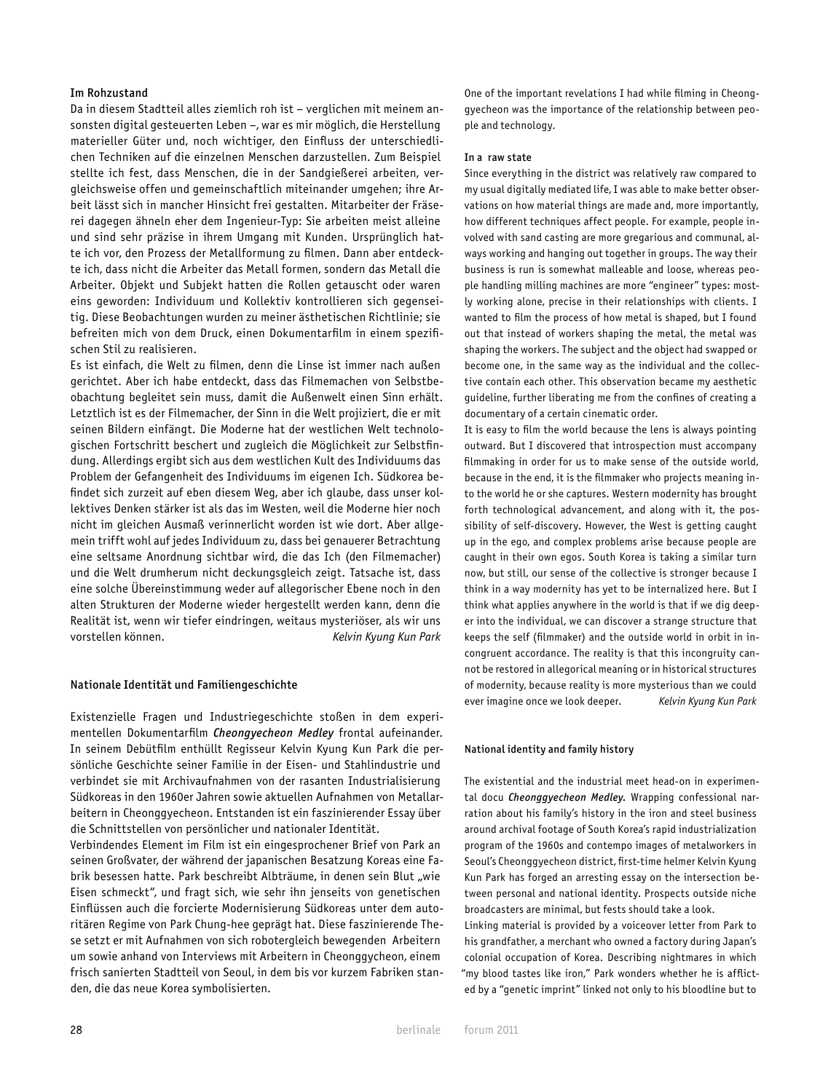# Im Rohzustand

Da in diesem Stadtteil alles ziemlich roh ist – verglichen mit meinem ansonsten digital gesteuerten Leben –, war es mir möglich, die Herstellung materieller Güter und, noch wichtiger, den Einfluss der unterschiedlichen Techniken auf die einzelnen Menschen darzustellen. Zum Beispiel stellte ich fest, dass Menschen, die in der Sandgießerei arbeiten, vergleichsweise offen und gemeinschaftlich miteinander umgehen; ihre Arbeit lässt sich in mancher Hinsicht frei gestalten. Mitarbeiter der Fräserei dagegen ähneln eher dem Ingenieur-Typ: Sie arbeiten meist alleine und sind sehr präzise in ihrem Umgang mit Kunden. Ursprünglich hatte ich vor, den Prozess der Metallformung zu filmen. Dann aber entdeckte ich, dass nicht die Arbeiter das Metall formen, sondern das Metall die Arbeiter. Objekt und Subjekt hatten die Rollen getauscht oder waren eins geworden: Individuum und Kollektiv kontrollieren sich gegenseitig. Diese Beobachtungen wurden zu meiner ästhetischen Richtlinie; sie befreiten mich von dem Druck, einen Dokumentarfilm in einem spezifischen Stil zu realisieren.

Es ist einfach, die Welt zu filmen, denn die Linse ist immer nach außen gerichtet. Aber ich habe entdeckt, dass das Filmemachen von Selbstbeobachtung begleitet sein muss, damit die Außenwelt einen Sinn erhält. Letztlich ist es der Filmemacher, der Sinn in die Welt projiziert, die er mit seinen Bildern einfängt. Die Moderne hat der westlichen Welt technologischen Fortschritt beschert und zugleich die Möglichkeit zur Selbstfindung. Allerdings ergibt sich aus dem westlichen Kult des Individuums das Problem der Gefangenheit des Individuums im eigenen Ich. Südkorea befindet sich zurzeit auf eben diesem Weg, aber ich glaube, dass unser kollektives Denken stärker ist als das im Westen, weil die Moderne hier noch nicht im gleichen Ausmaß verinnerlicht worden ist wie dort. Aber allgemein trifft wohl auf jedes Individuum zu, dass bei genauerer Betrachtung eine seltsame Anordnung sichtbar wird, die das Ich (den Filmemacher) und die Welt drumherum nicht deckungsgleich zeigt. Tatsache ist, dass eine solche Übereinstimmung weder auf allegorischer Ebene noch in den alten Strukturen der Moderne wieder hergestellt werden kann, denn die Realität ist, wenn wir tiefer eindringen, weitaus mysteriöser, als wir uns vorstellen können. *Kelvin Kyung Kun Park*

# Nationale Identität und Familiengeschichte

Existenzielle Fragen und Industriegeschichte stoßen in dem experimentellen Dokumentarfilm *Cheongyecheon Medley* frontal aufeinander. In seinem Debütfilm enthüllt Regisseur Kelvin Kyung Kun Park die persönliche Geschichte seiner Familie in der Eisen- und Stahlindustrie und verbindet sie mit Archivaufnahmen von der rasanten Industrialisierung Südkoreas in den 1960er Jahren sowie aktuellen Aufnahmen von Metallarbeitern in Cheonggyecheon. Entstanden ist ein faszinierender Essay über die Schnittstellen von persönlicher und nationaler Identität.

Verbindendes Element im Film ist ein eingesprochener Brief von Park an seinen Großvater, der während der japanischen Besatzung Koreas eine Fabrik besessen hatte. Park beschreibt Albträume, in denen sein Blut "wie Eisen schmeckt", und fragt sich, wie sehr ihn jenseits von genetischen Einflüssen auch die forcierte Modernisierung Südkoreas unter dem autoritären Regime von Park Chung-hee geprägt hat. Diese faszinierende These setzt er mit Aufnahmen von sich robotergleich bewegenden Arbeitern um sowie anhand von Interviews mit Arbeitern in Cheonggycheon, einem frisch sanierten Stadtteil von Seoul, in dem bis vor kurzem Fabriken standen, die das neue Korea symbolisierten.

One of the important revelations I had while filming in Cheonggyecheon was the importance of the relationship between people and technology.

#### In a raw state

Since everything in the district was relatively raw compared to my usual digitally mediated life, I was able to make better observations on how material things are made and, more importantly, how different techniques affect people. For example, people involved with sand casting are more gregarious and communal, always working and hanging out together in groups. The way their business is run is somewhat malleable and loose, whereas people handling milling machines are more "engineer" types: mostly working alone, precise in their relationships with clients. I wanted to film the process of how metal is shaped, but I found out that instead of workers shaping the metal, the metal was shaping the workers. The subject and the object had swapped or become one, in the same way as the individual and the collective contain each other. This observation became my aesthetic guideline, further liberating me from the confines of creating a documentary of a certain cinematic order.

It is easy to film the world because the lens is always pointing outward. But I discovered that introspection must accompany filmmaking in order for us to make sense of the outside world, because in the end, it is the filmmaker who projects meaning into the world he or she captures. Western modernity has brought forth technological advancement, and along with it, the possibility of self-discovery. However, the West is getting caught up in the ego, and complex problems arise because people are caught in their own egos. South Korea is taking a similar turn now, but still, our sense of the collective is stronger because I think in a way modernity has yet to be internalized here. But I think what applies anywhere in the world is that if we dig deeper into the individual, we can discover a strange structure that keeps the self (filmmaker) and the outside world in orbit in incongruent accordance. The reality is that this incongruity cannot be restored in allegorical meaning or in historical structures of modernity, because reality is more mysterious than we could ever imagine once we look deeper. *Kelvin Kyung Kun Park*

# National identity and family history

The existential and the industrial meet head-on in experimental docu *Cheonggyecheon Medley.* Wrapping confessional narration about his family's history in the iron and steel business around archival footage of South Korea's rapid industrialization program of the 1960s and contempo images of metalworkers in Seoul's Cheonggyecheon district, first-time helmer Kelvin Kyung Kun Park has forged an arresting essay on the intersection between personal and national identity. Prospects outside niche broadcasters are minimal, but fests should take a look. Linking material is provided by a voiceover letter from Park to

his grandfather, a merchant who owned a factory during Japan's colonial occupation of Korea. Describing nightmares in which "my blood tastes like iron," Park wonders whether he is afflicted by a "genetic imprint" linked not only to his bloodline but to